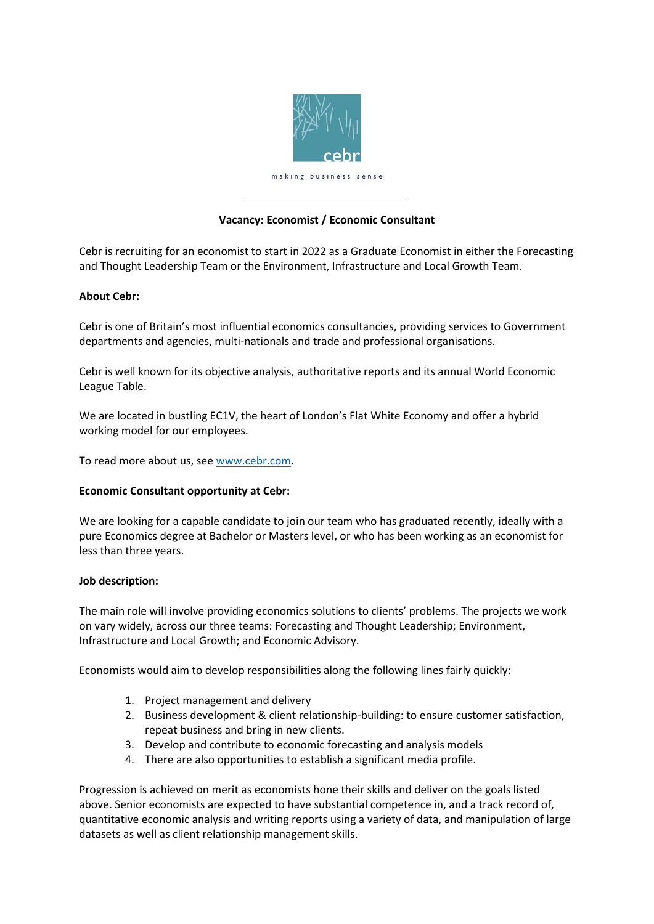

# **Vacancy: Economist / Economic Consultant**

Cebr is recruiting for an economist to start in 2022 as a Graduate Economist in either the Forecasting and Thought Leadership Team or the Environment, Infrastructure and Local Growth Team.

## **About Cebr:**

Cebr is one of Britain's most influential economics consultancies, providing services to Government departments and agencies, multi-nationals and trade and professional organisations.

Cebr is well known for its objective analysis, authoritative reports and its annual World Economic League Table.

We are located in bustling EC1V, the heart of London's Flat White Economy and offer a hybrid working model for our employees.

To read more about us, se[e www.cebr.com.](http://www.cebr.com/)

## **Economic Consultant opportunity at Cebr:**

We are looking for a capable candidate to join our team who has graduated recently, ideally with a pure Economics degree at Bachelor or Masters level, or who has been working as an economist for less than three years.

## **Job description:**

The main role will involve providing economics solutions to clients' problems. The projects we work on vary widely, across our three teams: Forecasting and Thought Leadership; Environment, Infrastructure and Local Growth; and Economic Advisory.

Economists would aim to develop responsibilities along the following lines fairly quickly:

- 1. Project management and delivery
- 2. Business development & client relationship-building: to ensure customer satisfaction, repeat business and bring in new clients.
- 3. Develop and contribute to economic forecasting and analysis models
- 4. There are also opportunities to establish a significant media profile.

Progression is achieved on merit as economists hone their skills and deliver on the goals listed above. Senior economists are expected to have substantial competence in, and a track record of, quantitative economic analysis and writing reports using a variety of data, and manipulation of large datasets as well as client relationship management skills.